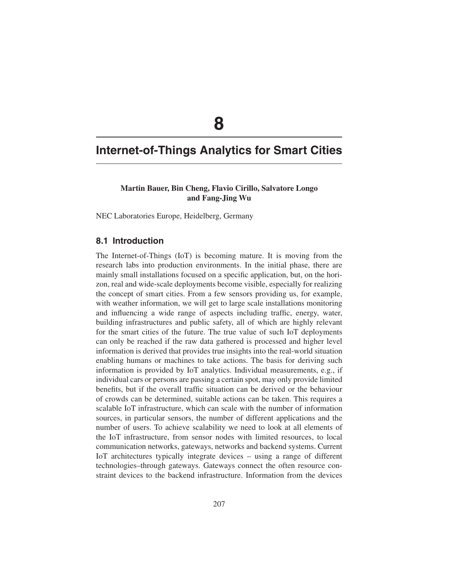# **8**

## **Internet-of-Things Analytics for Smart Cities**

## **Martin Bauer, Bin Cheng, Flavio Cirillo, Salvatore Longo and Fang-Jing Wu**

NEC Laboratories Europe, Heidelberg, Germany

## **8.1 Introduction**

The Internet-of-Things (IoT) is becoming mature. It is moving from the research labs into production environments. In the initial phase, there are mainly small installations focused on a specific application, but, on the horizon, real and wide-scale deployments become visible, especially for realizing the concept of smart cities. From a few sensors providing us, for example, with weather information, we will get to large scale installations monitoring and influencing a wide range of aspects including traffic, energy, water, building infrastructures and public safety, all of which are highly relevant for the smart cities of the future. The true value of such IoT deployments can only be reached if the raw data gathered is processed and higher level information is derived that provides true insights into the real-world situation enabling humans or machines to take actions. The basis for deriving such information is provided by IoT analytics. Individual measurements, e.g., if individual cars or persons are passing a certain spot, may only provide limited benefits, but if the overall traffic situation can be derived or the behaviour of crowds can be determined, suitable actions can be taken. This requires a scalable IoT infrastructure, which can scale with the number of information sources, in particular sensors, the number of different applications and the number of users. To achieve scalability we need to look at all elements of the IoT infrastructure, from sensor nodes with limited resources, to local communication networks, gateways, networks and backend systems. Current IoT architectures typically integrate devices – using a range of different technologies–through gateways. Gateways connect the often resource constraint devices to the backend infrastructure. Information from the devices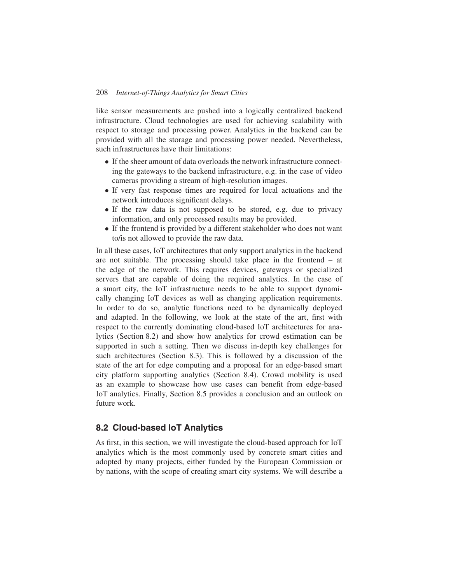like sensor measurements are pushed into a logically centralized backend infrastructure. Cloud technologies are used for achieving scalability with respect to storage and processing power. Analytics in the backend can be provided with all the storage and processing power needed. Nevertheless, such infrastructures have their limitations:

- If the sheer amount of data overloads the network infrastructure connecting the gateways to the backend infrastructure, e.g. in the case of video cameras providing a stream of high-resolution images.
- If very fast response times are required for local actuations and the network introduces significant delays.
- If the raw data is not supposed to be stored, e.g. due to privacy information, and only processed results may be provided.
- If the frontend is provided by a different stakeholder who does not want to/is not allowed to provide the raw data.

In all these cases, IoT architectures that only support analytics in the backend are not suitable. The processing should take place in the frontend – at the edge of the network. This requires devices, gateways or specialized servers that are capable of doing the required analytics. In the case of a smart city, the IoT infrastructure needs to be able to support dynamically changing IoT devices as well as changing application requirements. In order to do so, analytic functions need to be dynamically deployed and adapted. In the following, we look at the state of the art, first with respect to the currently dominating cloud-based IoT architectures for analytics (Section 8.2) and show how analytics for crowd estimation can be supported in such a setting. Then we discuss in-depth key challenges for such architectures (Section 8.3). This is followed by a discussion of the state of the art for edge computing and a proposal for an edge-based smart city platform supporting analytics (Section 8.4). Crowd mobility is used as an example to showcase how use cases can benefit from edge-based IoT analytics. Finally, Section 8.5 provides a conclusion and an outlook on future work.

## **8.2 Cloud-based IoT Analytics**

As first, in this section, we will investigate the cloud-based approach for IoT analytics which is the most commonly used by concrete smart cities and adopted by many projects, either funded by the European Commission or by nations, with the scope of creating smart city systems. We will describe a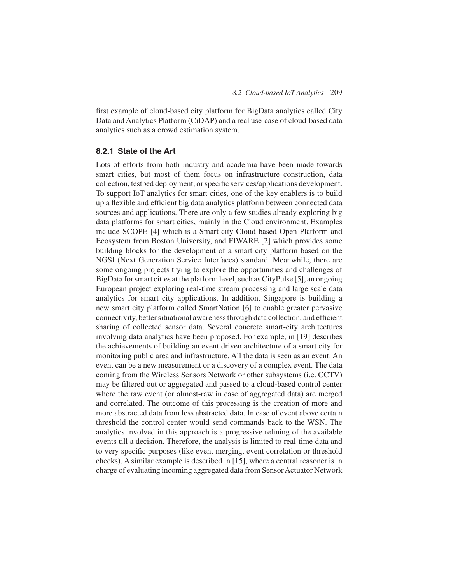first example of cloud-based city platform for BigData analytics called City Data and Analytics Platform (CiDAP) and a real use-case of cloud-based data analytics such as a crowd estimation system.

## **8.2.1 State of the Art**

Lots of efforts from both industry and academia have been made towards smart cities, but most of them focus on infrastructure construction, data collection, testbed deployment, or specific services/applications development. To support IoT analytics for smart cities, one of the key enablers is to build up a flexible and efficient big data analytics platform between connected data sources and applications. There are only a few studies already exploring big data platforms for smart cities, mainly in the Cloud environment. Examples include SCOPE [4] which is a Smart-city Cloud-based Open Platform and Ecosystem from Boston University, and FIWARE [2] which provides some building blocks for the development of a smart city platform based on the NGSI (Next Generation Service Interfaces) standard. Meanwhile, there are some ongoing projects trying to explore the opportunities and challenges of BigData for smart cities at the platform level, such as CityPulse [5], an ongoing European project exploring real-time stream processing and large scale data analytics for smart city applications. In addition, Singapore is building a new smart city platform called SmartNation [6] to enable greater pervasive connectivity, better situational awareness through data collection, and efficient sharing of collected sensor data. Several concrete smart-city architectures involving data analytics have been proposed. For example, in [19] describes the achievements of building an event driven architecture of a smart city for monitoring public area and infrastructure. All the data is seen as an event. An event can be a new measurement or a discovery of a complex event. The data coming from the Wireless Sensors Network or other subsystems (i.e. CCTV) may be filtered out or aggregated and passed to a cloud-based control center where the raw event (or almost-raw in case of aggregated data) are merged and correlated. The outcome of this processing is the creation of more and more abstracted data from less abstracted data. In case of event above certain threshold the control center would send commands back to the WSN. The analytics involved in this approach is a progressive refining of the available events till a decision. Therefore, the analysis is limited to real-time data and to very specific purposes (like event merging, event correlation or threshold checks). A similar example is described in [15], where a central reasoner is in charge of evaluating incoming aggregated data from Sensor Actuator Network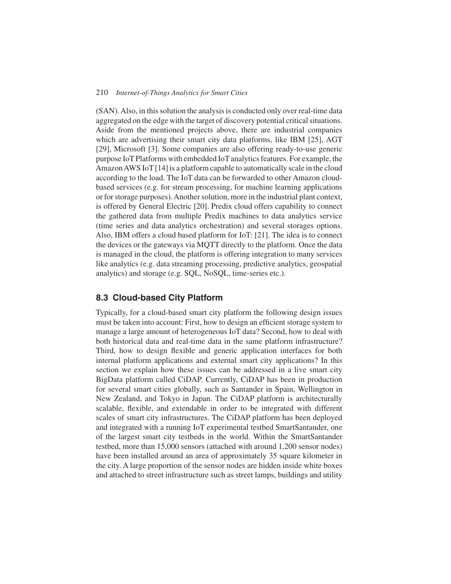(SAN). Also, in this solution the analysis is conducted only over real-time data aggregated on the edge with the target of discovery potential critical situations. Aside from the mentioned projects above, there are industrial companies which are advertising their smart city data platforms, like IBM [25], AGT [29], Microsoft [3]. Some companies are also offering ready-to-use generic purpose IoT Platforms with embedded IoT analytics features. For example, the AmazonAWS IoT [14] is a platform capable to automatically scale in the cloud according to the load. The IoT data can be forwarded to other Amazon cloudbased services (e.g. for stream processing, for machine learning applications or for storage purposes).Another solution, more in the industrial plant context, is offered by General Electric [20]. Predix cloud offers capability to connect the gathered data from multiple Predix machines to data analytics service (time series and data analytics orchestration) and several storages options. Also, IBM offers a cloud based platform for IoT: [21]. The idea is to connect the devices or the gateways via MQTT directly to the platform. Once the data is managed in the cloud, the platform is offering integration to many services like analytics (e.g. data streaming processing, predictive analytics, geospatial analytics) and storage (e.g. SQL, NoSQL, time-series etc.).

## **8.3 Cloud-based City Platform**

Typically, for a cloud-based smart city platform the following design issues must be taken into account: First, how to design an efficient storage system to manage a large amount of heterogeneous IoT data? Second, how to deal with both historical data and real-time data in the same platform infrastructure? Third, how to design flexible and generic application interfaces for both internal platform applications and external smart city applications? In this section we explain how these issues can be addressed in a live smart city BigData platform called CiDAP. Currently, CiDAP has been in production for several smart cities globally, such as Santander in Spain, Wellington in New Zealand, and Tokyo in Japan. The CiDAP platform is architecturally scalable, flexible, and extendable in order to be integrated with different scales of smart city infrastructures. The CiDAP platform has been deployed and integrated with a running IoT experimental testbed SmartSantander, one of the largest smart city testbeds in the world. Within the SmartSantander testbed, more than 15,000 sensors (attached with around 1,200 sensor nodes) have been installed around an area of approximately 35 square kilometer in the city. A large proportion of the sensor nodes are hidden inside white boxes and attached to street infrastructure such as street lamps, buildings and utility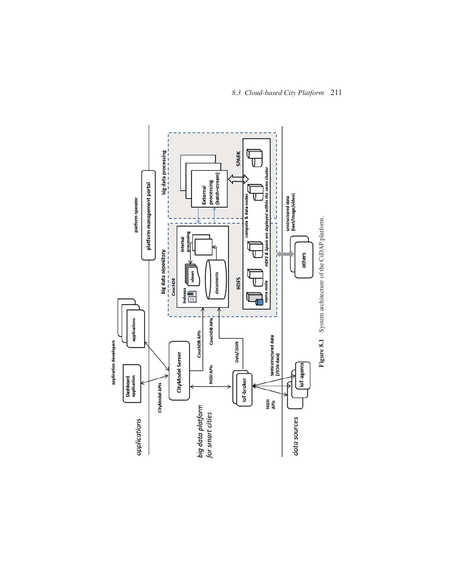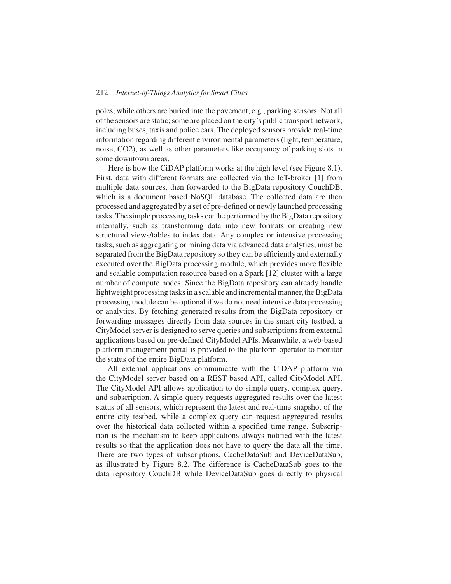poles, while others are buried into the pavement, e.g., parking sensors. Not all of the sensors are static; some are placed on the city's public transport network, including buses, taxis and police cars. The deployed sensors provide real-time information regarding different environmental parameters (light, temperature, noise, CO2), as well as other parameters like occupancy of parking slots in some downtown areas.

Here is how the CiDAP platform works at the high level (see Figure 8.1). First, data with different formats are collected via the IoT-broker [1] from multiple data sources, then forwarded to the BigData repository CouchDB, which is a document based NoSQL database. The collected data are then processed and aggregated by a set of pre-defined or newly launched processing tasks. The simple processing tasks can be performed by the BigData repository internally, such as transforming data into new formats or creating new structured views/tables to index data. Any complex or intensive processing tasks, such as aggregating or mining data via advanced data analytics, must be separated from the BigData repository so they can be efficiently and externally executed over the BigData processing module, which provides more flexible and scalable computation resource based on a Spark [12] cluster with a large number of compute nodes. Since the BigData repository can already handle lightweight processing tasks in a scalable and incremental manner, the BigData processing module can be optional if we do not need intensive data processing or analytics. By fetching generated results from the BigData repository or forwarding messages directly from data sources in the smart city testbed, a CityModel server is designed to serve queries and subscriptions from external applications based on pre-defined CityModel APIs. Meanwhile, a web-based platform management portal is provided to the platform operator to monitor the status of the entire BigData platform.

All external applications communicate with the CiDAP platform via the CityModel server based on a REST based API, called CityModel API. The CityModel API allows application to do simple query, complex query, and subscription. A simple query requests aggregated results over the latest status of all sensors, which represent the latest and real-time snapshot of the entire city testbed, while a complex query can request aggregated results over the historical data collected within a specified time range. Subscription is the mechanism to keep applications always notified with the latest results so that the application does not have to query the data all the time. There are two types of subscriptions, CacheDataSub and DeviceDataSub, as illustrated by Figure 8.2. The difference is CacheDataSub goes to the data repository CouchDB while DeviceDataSub goes directly to physical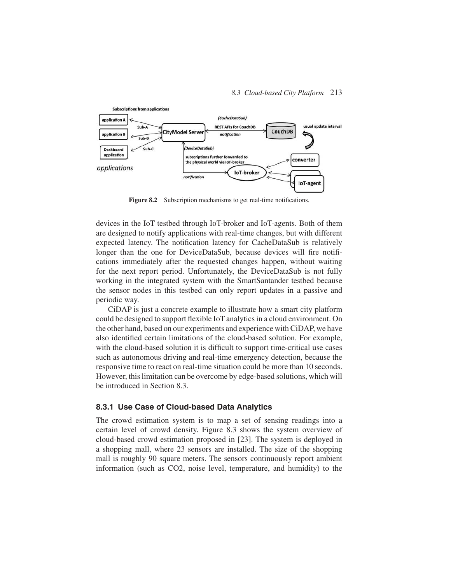#### *8.3 Cloud-based City Platform* 213



**Figure 8.2** Subscription mechanisms to get real-time notifications.

devices in the IoT testbed through IoT-broker and IoT-agents. Both of them are designed to notify applications with real-time changes, but with different expected latency. The notification latency for CacheDataSub is relatively longer than the one for DeviceDataSub, because devices will fire notifications immediately after the requested changes happen, without waiting for the next report period. Unfortunately, the DeviceDataSub is not fully working in the integrated system with the SmartSantander testbed because the sensor nodes in this testbed can only report updates in a passive and periodic way.

CiDAP is just a concrete example to illustrate how a smart city platform could be designed to support flexible IoT analytics in a cloud environment. On the other hand, based on our experiments and experience with CiDAP, we have also identified certain limitations of the cloud-based solution. For example, with the cloud-based solution it is difficult to support time-critical use cases such as autonomous driving and real-time emergency detection, because the responsive time to react on real-time situation could be more than 10 seconds. However, this limitation can be overcome by edge-based solutions, which will be introduced in Section 8.3.

#### **8.3.1 Use Case of Cloud-based Data Analytics**

The crowd estimation system is to map a set of sensing readings into a certain level of crowd density. Figure 8.3 shows the system overview of cloud-based crowd estimation proposed in [23]. The system is deployed in a shopping mall, where 23 sensors are installed. The size of the shopping mall is roughly 90 square meters. The sensors continuously report ambient information (such as CO2, noise level, temperature, and humidity) to the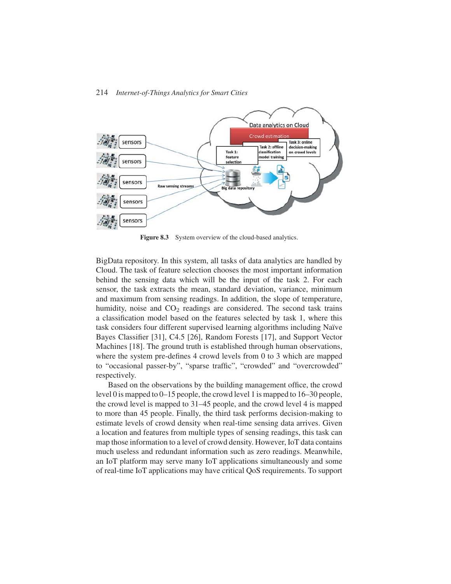

Figure 8.3 System overview of the cloud-based analytics.

BigData repository. In this system, all tasks of data analytics are handled by Cloud. The task of feature selection chooses the most important information behind the sensing data which will be the input of the task 2. For each sensor, the task extracts the mean, standard deviation, variance, minimum and maximum from sensing readings. In addition, the slope of temperature, humidity, noise and  $CO<sub>2</sub>$  readings are considered. The second task trains a classification model based on the features selected by task 1, where this task considers four different supervised learning algorithms including Naïve Bayes Classifier [31], C4.5 [26], Random Forests [17], and Support Vector Machines [18]. The ground truth is established through human observations, where the system pre-defines 4 crowd levels from 0 to 3 which are mapped to "occasional passer-by", "sparse traffic", "crowded" and "overcrowded" respectively.

Based on the observations by the building management office, the crowd level 0 is mapped to 0–15 people, the crowd level 1 is mapped to 16–30 people, the crowd level is mapped to 31–45 people, and the crowd level 4 is mapped to more than 45 people. Finally, the third task performs decision-making to estimate levels of crowd density when real-time sensing data arrives. Given a location and features from multiple types of sensing readings, this task can map those information to a level of crowd density. However, IoT data contains much useless and redundant information such as zero readings. Meanwhile, an IoT platform may serve many IoT applications simultaneously and some of real-time IoT applications may have critical QoS requirements. To support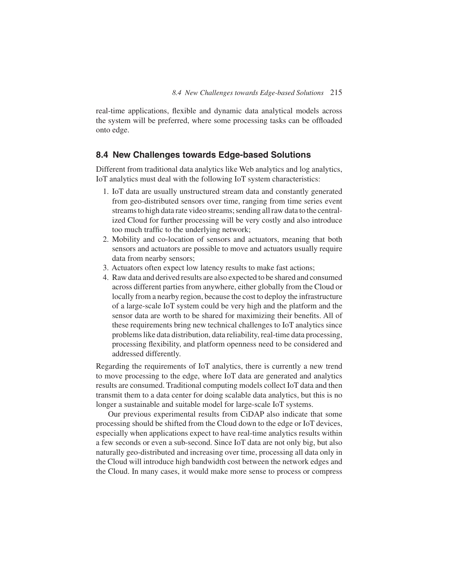real-time applications, flexible and dynamic data analytical models across the system will be preferred, where some processing tasks can be offloaded onto edge.

## **8.4 New Challenges towards Edge-based Solutions**

Different from traditional data analytics like Web analytics and log analytics, IoT analytics must deal with the following IoT system characteristics:

- 1. IoT data are usually unstructured stream data and constantly generated from geo-distributed sensors over time, ranging from time series event streams to high data rate video streams; sending all raw data to the centralized Cloud for further processing will be very costly and also introduce too much traffic to the underlying network;
- 2. Mobility and co-location of sensors and actuators, meaning that both sensors and actuators are possible to move and actuators usually require data from nearby sensors;
- 3. Actuators often expect low latency results to make fast actions;
- 4. Raw data and derived results are also expected to be shared and consumed across different parties from anywhere, either globally from the Cloud or locally from a nearby region, because the cost to deploy the infrastructure of a large-scale IoT system could be very high and the platform and the sensor data are worth to be shared for maximizing their benefits. All of these requirements bring new technical challenges to IoT analytics since problems like data distribution, data reliability, real-time data processing, processing flexibility, and platform openness need to be considered and addressed differently.

Regarding the requirements of IoT analytics, there is currently a new trend to move processing to the edge, where IoT data are generated and analytics results are consumed. Traditional computing models collect IoT data and then transmit them to a data center for doing scalable data analytics, but this is no longer a sustainable and suitable model for large-scale IoT systems.

Our previous experimental results from CiDAP also indicate that some processing should be shifted from the Cloud down to the edge or IoT devices, especially when applications expect to have real-time analytics results within a few seconds or even a sub-second. Since IoT data are not only big, but also naturally geo-distributed and increasing over time, processing all data only in the Cloud will introduce high bandwidth cost between the network edges and the Cloud. In many cases, it would make more sense to process or compress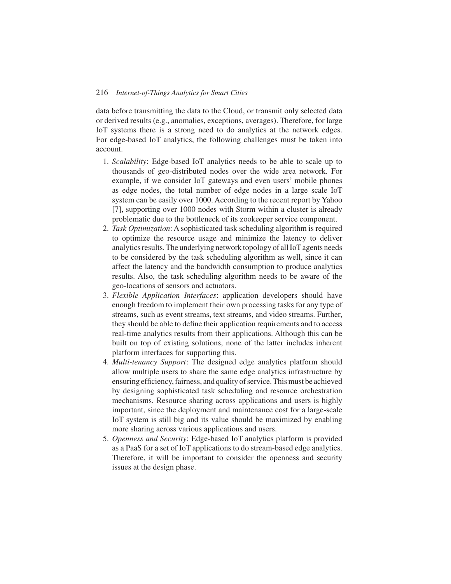data before transmitting the data to the Cloud, or transmit only selected data or derived results (e.g., anomalies, exceptions, averages). Therefore, for large IoT systems there is a strong need to do analytics at the network edges. For edge-based IoT analytics, the following challenges must be taken into account.

- 1. *Scalability*: Edge-based IoT analytics needs to be able to scale up to thousands of geo-distributed nodes over the wide area network. For example, if we consider IoT gateways and even users' mobile phones as edge nodes, the total number of edge nodes in a large scale IoT system can be easily over 1000. According to the recent report by Yahoo [7], supporting over 1000 nodes with Storm within a cluster is already problematic due to the bottleneck of its zookeeper service component.
- 2. *Task Optimization*: A sophisticated task scheduling algorithm is required to optimize the resource usage and minimize the latency to deliver analytics results. The underlying network topology of all IoT agents needs to be considered by the task scheduling algorithm as well, since it can affect the latency and the bandwidth consumption to produce analytics results. Also, the task scheduling algorithm needs to be aware of the geo-locations of sensors and actuators.
- 3. *Flexible Application Interfaces*: application developers should have enough freedom to implement their own processing tasks for any type of streams, such as event streams, text streams, and video streams. Further, they should be able to define their application requirements and to access real-time analytics results from their applications. Although this can be built on top of existing solutions, none of the latter includes inherent platform interfaces for supporting this.
- 4. *Multi-tenancy Support*: The designed edge analytics platform should allow multiple users to share the same edge analytics infrastructure by ensuring efficiency, fairness, and quality of service. This must be achieved by designing sophisticated task scheduling and resource orchestration mechanisms. Resource sharing across applications and users is highly important, since the deployment and maintenance cost for a large-scale IoT system is still big and its value should be maximized by enabling more sharing across various applications and users.
- 5. *Openness and Security*: Edge-based IoT analytics platform is provided as a PaaS for a set of IoT applications to do stream-based edge analytics. Therefore, it will be important to consider the openness and security issues at the design phase.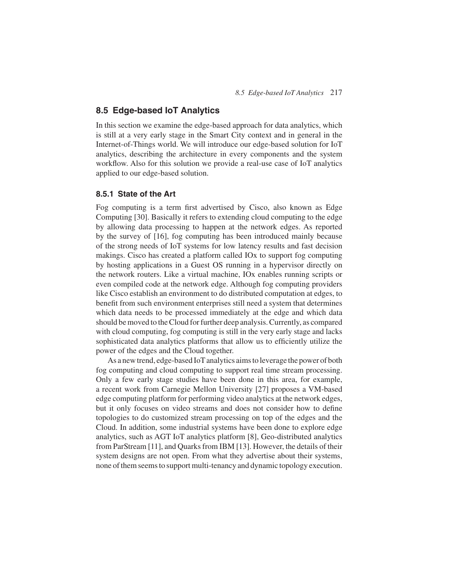## **8.5 Edge-based IoT Analytics**

In this section we examine the edge-based approach for data analytics, which is still at a very early stage in the Smart City context and in general in the Internet-of-Things world. We will introduce our edge-based solution for IoT analytics, describing the architecture in every components and the system workflow. Also for this solution we provide a real-use case of IoT analytics applied to our edge-based solution.

#### **8.5.1 State of the Art**

Fog computing is a term first advertised by Cisco, also known as Edge Computing [30]. Basically it refers to extending cloud computing to the edge by allowing data processing to happen at the network edges. As reported by the survey of [16], fog computing has been introduced mainly because of the strong needs of IoT systems for low latency results and fast decision makings. Cisco has created a platform called IOx to support fog computing by hosting applications in a Guest OS running in a hypervisor directly on the network routers. Like a virtual machine, IOx enables running scripts or even compiled code at the network edge. Although fog computing providers like Cisco establish an environment to do distributed computation at edges, to benefit from such environment enterprises still need a system that determines which data needs to be processed immediately at the edge and which data should be moved to the Cloud for further deep analysis. Currently, as compared with cloud computing, fog computing is still in the very early stage and lacks sophisticated data analytics platforms that allow us to efficiently utilize the power of the edges and the Cloud together.

As a new trend, edge-based IoT analytics aims to leverage the power of both fog computing and cloud computing to support real time stream processing. Only a few early stage studies have been done in this area, for example, a recent work from Carnegie Mellon University [27] proposes a VM-based edge computing platform for performing video analytics at the network edges, but it only focuses on video streams and does not consider how to define topologies to do customized stream processing on top of the edges and the Cloud. In addition, some industrial systems have been done to explore edge analytics, such as AGT IoT analytics platform [8], Geo-distributed analytics from ParStream [11], and Quarks from IBM [13]. However, the details of their system designs are not open. From what they advertise about their systems, none of them seems to support multi-tenancy and dynamic topology execution.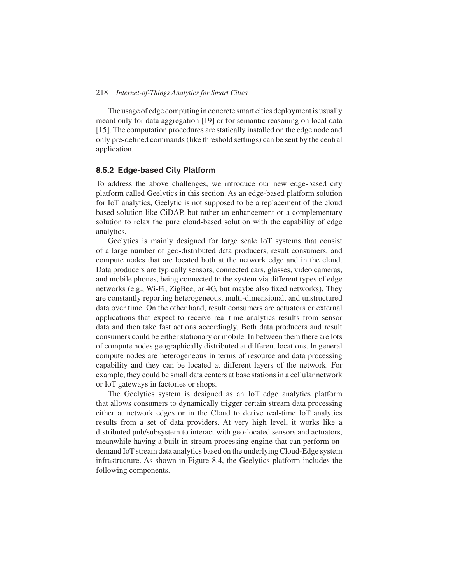The usage of edge computing in concrete smart cities deployment is usually meant only for data aggregation [19] or for semantic reasoning on local data [15]. The computation procedures are statically installed on the edge node and only pre-defined commands (like threshold settings) can be sent by the central application.

## **8.5.2 Edge-based City Platform**

To address the above challenges, we introduce our new edge-based city platform called Geelytics in this section. As an edge-based platform solution for IoT analytics, Geelytic is not supposed to be a replacement of the cloud based solution like CiDAP, but rather an enhancement or a complementary solution to relax the pure cloud-based solution with the capability of edge analytics.

Geelytics is mainly designed for large scale IoT systems that consist of a large number of geo-distributed data producers, result consumers, and compute nodes that are located both at the network edge and in the cloud. Data producers are typically sensors, connected cars, glasses, video cameras, and mobile phones, being connected to the system via different types of edge networks (e.g., Wi-Fi, ZigBee, or 4G, but maybe also fixed networks). They are constantly reporting heterogeneous, multi-dimensional, and unstructured data over time. On the other hand, result consumers are actuators or external applications that expect to receive real-time analytics results from sensor data and then take fast actions accordingly. Both data producers and result consumers could be either stationary or mobile. In between them there are lots of compute nodes geographically distributed at different locations. In general compute nodes are heterogeneous in terms of resource and data processing capability and they can be located at different layers of the network. For example, they could be small data centers at base stations in a cellular network or IoT gateways in factories or shops.

The Geelytics system is designed as an IoT edge analytics platform that allows consumers to dynamically trigger certain stream data processing either at network edges or in the Cloud to derive real-time IoT analytics results from a set of data providers. At very high level, it works like a distributed pub/subsystem to interact with geo-located sensors and actuators, meanwhile having a built-in stream processing engine that can perform ondemand IoT stream data analytics based on the underlying Cloud-Edge system infrastructure. As shown in Figure 8.4, the Geelytics platform includes the following components.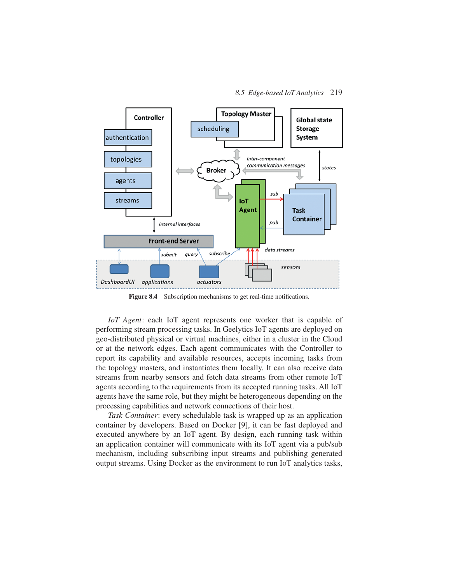

Figure 8.4 Subscription mechanisms to get real-time notifications.

*IoT Agent*: each IoT agent represents one worker that is capable of performing stream processing tasks. In Geelytics IoT agents are deployed on geo-distributed physical or virtual machines, either in a cluster in the Cloud or at the network edges. Each agent communicates with the Controller to report its capability and available resources, accepts incoming tasks from the topology masters, and instantiates them locally. It can also receive data streams from nearby sensors and fetch data streams from other remote IoT agents according to the requirements from its accepted running tasks. All IoT agents have the same role, but they might be heterogeneous depending on the processing capabilities and network connections of their host.

*Task Container*: every schedulable task is wrapped up as an application container by developers. Based on Docker [9], it can be fast deployed and executed anywhere by an IoT agent. By design, each running task within an application container will communicate with its IoT agent via a pub/sub mechanism, including subscribing input streams and publishing generated output streams. Using Docker as the environment to run IoT analytics tasks,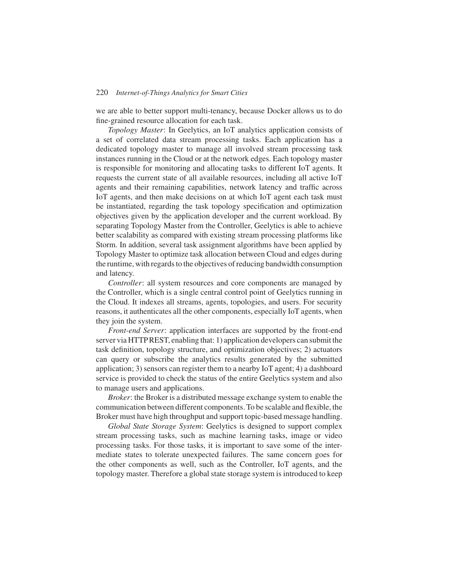we are able to better support multi-tenancy, because Docker allows us to do fine-grained resource allocation for each task.

*Topology Master*: In Geelytics, an IoT analytics application consists of a set of correlated data stream processing tasks. Each application has a dedicated topology master to manage all involved stream processing task instances running in the Cloud or at the network edges. Each topology master is responsible for monitoring and allocating tasks to different IoT agents. It requests the current state of all available resources, including all active IoT agents and their remaining capabilities, network latency and traffic across IoT agents, and then make decisions on at which IoT agent each task must be instantiated, regarding the task topology specification and optimization objectives given by the application developer and the current workload. By separating Topology Master from the Controller, Geelytics is able to achieve better scalability as compared with existing stream processing platforms like Storm. In addition, several task assignment algorithms have been applied by Topology Master to optimize task allocation between Cloud and edges during the runtime, with regards to the objectives of reducing bandwidth consumption and latency.

*Controller*: all system resources and core components are managed by the Controller, which is a single central control point of Geelytics running in the Cloud. It indexes all streams, agents, topologies, and users. For security reasons, it authenticates all the other components, especially IoT agents, when they join the system.

*Front-end Server*: application interfaces are supported by the front-end server via HTTPREST, enabling that: 1) application developers can submit the task definition, topology structure, and optimization objectives; 2) actuators can query or subscribe the analytics results generated by the submitted application; 3) sensors can register them to a nearby IoT agent; 4) a dashboard service is provided to check the status of the entire Geelytics system and also to manage users and applications.

*Broker*: the Broker is a distributed message exchange system to enable the communication between different components. To be scalable and flexible, the Broker must have high throughput and support topic-based message handling.

*Global State Storage System*: Geelytics is designed to support complex stream processing tasks, such as machine learning tasks, image or video processing tasks. For those tasks, it is important to save some of the intermediate states to tolerate unexpected failures. The same concern goes for the other components as well, such as the Controller, IoT agents, and the topology master. Therefore a global state storage system is introduced to keep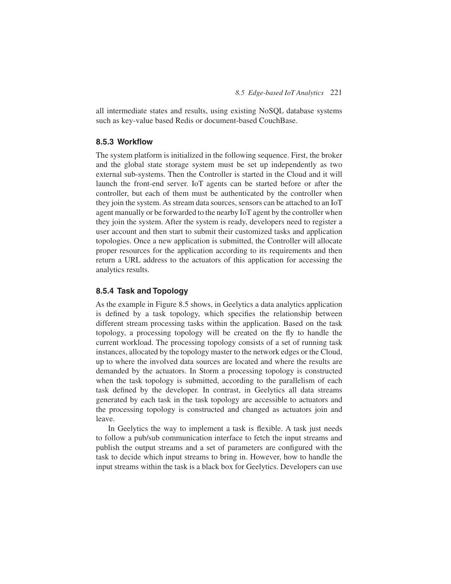all intermediate states and results, using existing NoSQL database systems such as key-value based Redis or document-based CouchBase.

## **8.5.3 Workflow**

The system platform is initialized in the following sequence. First, the broker and the global state storage system must be set up independently as two external sub-systems. Then the Controller is started in the Cloud and it will launch the front-end server. IoT agents can be started before or after the controller, but each of them must be authenticated by the controller when they join the system. As stream data sources, sensors can be attached to an IoT agent manually or be forwarded to the nearby IoT agent by the controller when they join the system. After the system is ready, developers need to register a user account and then start to submit their customized tasks and application topologies. Once a new application is submitted, the Controller will allocate proper resources for the application according to its requirements and then return a URL address to the actuators of this application for accessing the analytics results.

## **8.5.4 Task and Topology**

As the example in Figure 8.5 shows, in Geelytics a data analytics application is defined by a task topology, which specifies the relationship between different stream processing tasks within the application. Based on the task topology, a processing topology will be created on the fly to handle the current workload. The processing topology consists of a set of running task instances, allocated by the topology master to the network edges or the Cloud, up to where the involved data sources are located and where the results are demanded by the actuators. In Storm a processing topology is constructed when the task topology is submitted, according to the parallelism of each task defined by the developer. In contrast, in Geelytics all data streams generated by each task in the task topology are accessible to actuators and the processing topology is constructed and changed as actuators join and leave.

In Geelytics the way to implement a task is flexible. A task just needs to follow a pub/sub communication interface to fetch the input streams and publish the output streams and a set of parameters are configured with the task to decide which input streams to bring in. However, how to handle the input streams within the task is a black box for Geelytics. Developers can use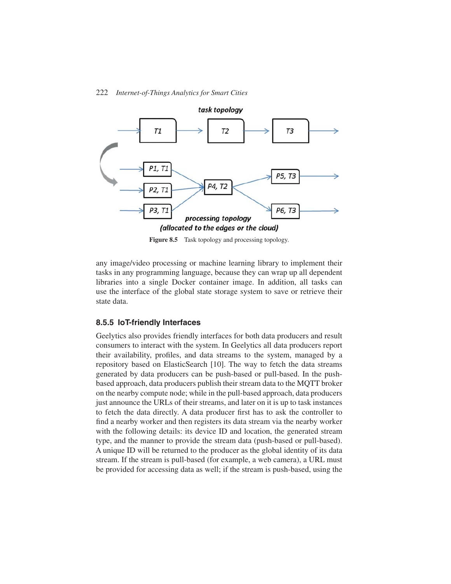

**Figure 8.5** Task topology and processing topology.

any image/video processing or machine learning library to implement their tasks in any programming language, because they can wrap up all dependent libraries into a single Docker container image. In addition, all tasks can use the interface of the global state storage system to save or retrieve their state data.

#### **8.5.5 IoT-friendly Interfaces**

Geelytics also provides friendly interfaces for both data producers and result consumers to interact with the system. In Geelytics all data producers report their availability, profiles, and data streams to the system, managed by a repository based on ElasticSearch [10]. The way to fetch the data streams generated by data producers can be push-based or pull-based. In the pushbased approach, data producers publish their stream data to the MQTT broker on the nearby compute node; while in the pull-based approach, data producers just announce the URLs of their streams, and later on it is up to task instances to fetch the data directly. A data producer first has to ask the controller to find a nearby worker and then registers its data stream via the nearby worker with the following details: its device ID and location, the generated stream type, and the manner to provide the stream data (push-based or pull-based). A unique ID will be returned to the producer as the global identity of its data stream. If the stream is pull-based (for example, a web camera), a URL must be provided for accessing data as well; if the stream is push-based, using the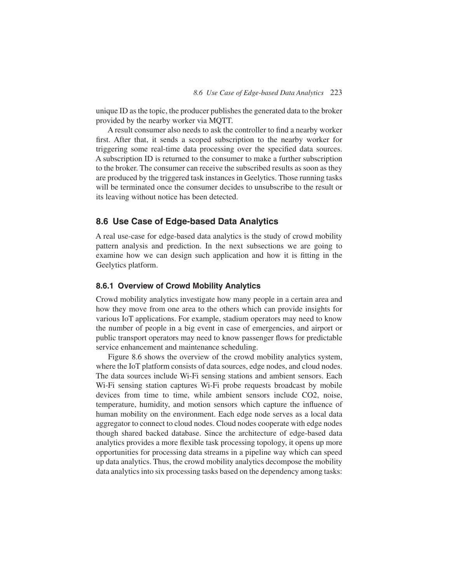unique ID as the topic, the producer publishes the generated data to the broker provided by the nearby worker via MQTT.

A result consumer also needs to ask the controller to find a nearby worker first. After that, it sends a scoped subscription to the nearby worker for triggering some real-time data processing over the specified data sources. A subscription ID is returned to the consumer to make a further subscription to the broker. The consumer can receive the subscribed results as soon as they are produced by the triggered task instances in Geelytics. Those running tasks will be terminated once the consumer decides to unsubscribe to the result or its leaving without notice has been detected.

## **8.6 Use Case of Edge-based Data Analytics**

A real use-case for edge-based data analytics is the study of crowd mobility pattern analysis and prediction. In the next subsections we are going to examine how we can design such application and how it is fitting in the Geelytics platform.

## **8.6.1 Overview of Crowd Mobility Analytics**

Crowd mobility analytics investigate how many people in a certain area and how they move from one area to the others which can provide insights for various IoT applications. For example, stadium operators may need to know the number of people in a big event in case of emergencies, and airport or public transport operators may need to know passenger flows for predictable service enhancement and maintenance scheduling.

Figure 8.6 shows the overview of the crowd mobility analytics system, where the IoT platform consists of data sources, edge nodes, and cloud nodes. The data sources include Wi-Fi sensing stations and ambient sensors. Each Wi-Fi sensing station captures Wi-Fi probe requests broadcast by mobile devices from time to time, while ambient sensors include CO2, noise, temperature, humidity, and motion sensors which capture the influence of human mobility on the environment. Each edge node serves as a local data aggregator to connect to cloud nodes. Cloud nodes cooperate with edge nodes though shared backed database. Since the architecture of edge-based data analytics provides a more flexible task processing topology, it opens up more opportunities for processing data streams in a pipeline way which can speed up data analytics. Thus, the crowd mobility analytics decompose the mobility data analytics into six processing tasks based on the dependency among tasks: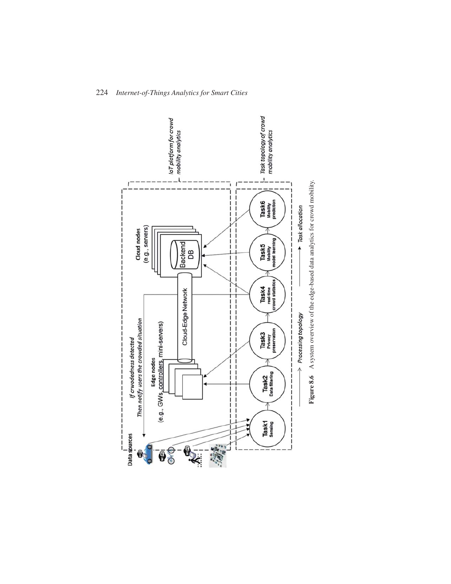

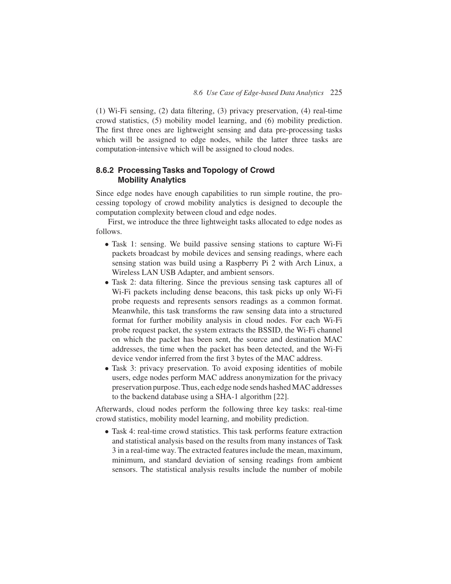(1) Wi-Fi sensing, (2) data filtering, (3) privacy preservation, (4) real-time crowd statistics, (5) mobility model learning, and (6) mobility prediction. The first three ones are lightweight sensing and data pre-processing tasks which will be assigned to edge nodes, while the latter three tasks are computation-intensive which will be assigned to cloud nodes.

## **8.6.2 Processing Tasks and Topology of Crowd Mobility Analytics**

Since edge nodes have enough capabilities to run simple routine, the processing topology of crowd mobility analytics is designed to decouple the computation complexity between cloud and edge nodes.

First, we introduce the three lightweight tasks allocated to edge nodes as follows.

- Task 1: sensing. We build passive sensing stations to capture Wi-Fi packets broadcast by mobile devices and sensing readings, where each sensing station was build using a Raspberry Pi 2 with Arch Linux, a Wireless LAN USB Adapter, and ambient sensors.
- Task 2: data filtering. Since the previous sensing task captures all of Wi-Fi packets including dense beacons, this task picks up only Wi-Fi probe requests and represents sensors readings as a common format. Meanwhile, this task transforms the raw sensing data into a structured format for further mobility analysis in cloud nodes. For each Wi-Fi probe request packet, the system extracts the BSSID, the Wi-Fi channel on which the packet has been sent, the source and destination MAC addresses, the time when the packet has been detected, and the Wi-Fi device vendor inferred from the first 3 bytes of the MAC address.
- Task 3: privacy preservation. To avoid exposing identities of mobile users, edge nodes perform MAC address anonymization for the privacy preservation purpose. Thus, each edge node sends hashedMAC addresses to the backend database using a SHA-1 algorithm [22].

Afterwards, cloud nodes perform the following three key tasks: real-time crowd statistics, mobility model learning, and mobility prediction.

• Task 4: real-time crowd statistics. This task performs feature extraction and statistical analysis based on the results from many instances of Task 3 in a real-time way. The extracted features include the mean, maximum, minimum, and standard deviation of sensing readings from ambient sensors. The statistical analysis results include the number of mobile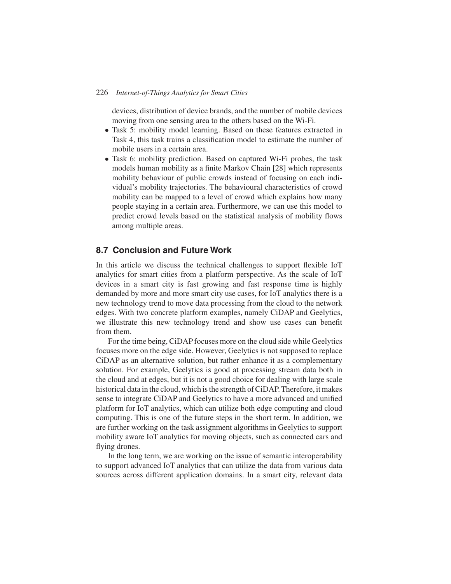devices, distribution of device brands, and the number of mobile devices moving from one sensing area to the others based on the Wi-Fi.

- Task 5: mobility model learning. Based on these features extracted in Task 4, this task trains a classification model to estimate the number of mobile users in a certain area.
- Task 6: mobility prediction. Based on captured Wi-Fi probes, the task models human mobility as a finite Markov Chain [28] which represents mobility behaviour of public crowds instead of focusing on each individual's mobility trajectories. The behavioural characteristics of crowd mobility can be mapped to a level of crowd which explains how many people staying in a certain area. Furthermore, we can use this model to predict crowd levels based on the statistical analysis of mobility flows among multiple areas.

## **8.7 Conclusion and Future Work**

In this article we discuss the technical challenges to support flexible IoT analytics for smart cities from a platform perspective. As the scale of IoT devices in a smart city is fast growing and fast response time is highly demanded by more and more smart city use cases, for IoT analytics there is a new technology trend to move data processing from the cloud to the network edges. With two concrete platform examples, namely CiDAP and Geelytics, we illustrate this new technology trend and show use cases can benefit from them.

For the time being, CiDAP focuses more on the cloud side while Geelytics focuses more on the edge side. However, Geelytics is not supposed to replace CiDAP as an alternative solution, but rather enhance it as a complementary solution. For example, Geelytics is good at processing stream data both in the cloud and at edges, but it is not a good choice for dealing with large scale historical data in the cloud, which is the strength of CiDAP. Therefore, it makes sense to integrate CiDAP and Geelytics to have a more advanced and unified platform for IoT analytics, which can utilize both edge computing and cloud computing. This is one of the future steps in the short term. In addition, we are further working on the task assignment algorithms in Geelytics to support mobility aware IoT analytics for moving objects, such as connected cars and flying drones.

In the long term, we are working on the issue of semantic interoperability to support advanced IoT analytics that can utilize the data from various data sources across different application domains. In a smart city, relevant data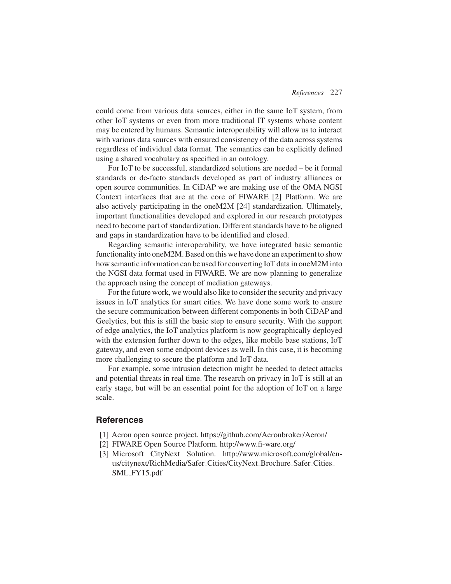could come from various data sources, either in the same IoT system, from other IoT systems or even from more traditional IT systems whose content may be entered by humans. Semantic interoperability will allow us to interact with various data sources with ensured consistency of the data across systems regardless of individual data format. The semantics can be explicitly defined using a shared vocabulary as specified in an ontology.

For IoT to be successful, standardized solutions are needed – be it formal standards or de-facto standards developed as part of industry alliances or open source communities. In CiDAP we are making use of the OMA NGSI Context interfaces that are at the core of FIWARE [2] Platform. We are also actively participating in the oneM2M [24] standardization. Ultimately, important functionalities developed and explored in our research prototypes need to become part of standardization. Different standards have to be aligned and gaps in standardization have to be identified and closed.

Regarding semantic interoperability, we have integrated basic semantic functionality into oneM2M. Based on this we have done an experiment to show how semantic information can be used for converting IoT data in oneM2M into the NGSI data format used in FIWARE. We are now planning to generalize the approach using the concept of mediation gateways.

For the future work, we would also like to consider the security and privacy issues in IoT analytics for smart cities. We have done some work to ensure the secure communication between different components in both CiDAP and Geelytics, but this is still the basic step to ensure security. With the support of edge analytics, the IoT analytics platform is now geographically deployed with the extension further down to the edges, like mobile base stations, IoT gateway, and even some endpoint devices as well. In this case, it is becoming more challenging to secure the platform and IoT data.

For example, some intrusion detection might be needed to detect attacks and potential threats in real time. The research on privacy in IoT is still at an early stage, but will be an essential point for the adoption of IoT on a large scale.

#### **References**

- [1] Aeron open source project. https://github.com/Aeronbroker/Aeron/
- [2] FIWARE Open Source Platform. http://www.fi-ware.org/
- [3] Microsoft CityNext Solution. http://www.microsoft.com/global/enus/citynext/RichMedia/Safer Cities/CityNext Brochure Safer Cities SML FY15.pdf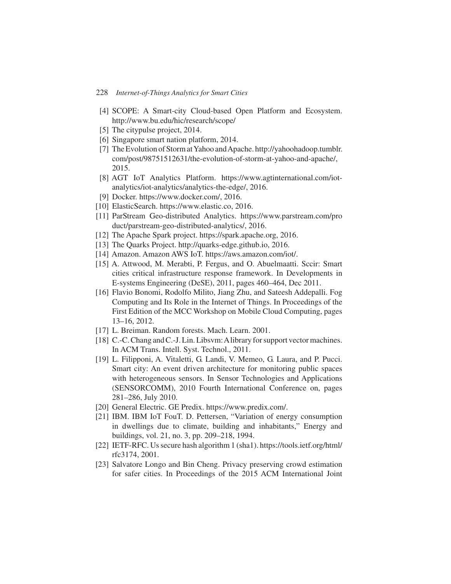- [4] SCOPE: A Smart-city Cloud-based Open Platform and Ecosystem. http://www.bu.edu/hic/research/scope/
- [5] The citypulse project, 2014.
- [6] Singapore smart nation platform, 2014.
- [7] The Evolution of Storm at Yahoo and Apache. http://yahoohadoop.tumblr. com/post/98751512631/the-evolution-of-storm-at-yahoo-and-apache/, 2015.
- [8] AGT IoT Analytics Platform. https://www.agtinternational.com/iotanalytics/iot-analytics/analytics-the-edge/, 2016.
- [9] Docker. https://www.docker.com/, 2016.
- [10] ElasticSearch. https://www.elastic.co, 2016.
- [11] ParStream Geo-distributed Analytics. https://www.parstream.com/pro duct/parstream-geo-distributed-analytics/, 2016.
- [12] The Apache Spark project. https://spark.apache.org, 2016.
- [13] The Quarks Project. http://quarks-edge.github.io, 2016.
- [14] Amazon. Amazon AWS IoT. https://aws.amazon.com/iot/.
- [15] A. Attwood, M. Merabti, P. Fergus, and O. Abuelmaatti. Sccir: Smart cities critical infrastructure response framework. In Developments in E-systems Engineering (DeSE), 2011, pages 460–464, Dec 2011.
- [16] Flavio Bonomi, Rodolfo Milito, Jiang Zhu, and Sateesh Addepalli. Fog Computing and Its Role in the Internet of Things. In Proceedings of the First Edition of the MCC Workshop on Mobile Cloud Computing, pages 13–16, 2012.
- [17] L. Breiman. Random forests. Mach. Learn. 2001.
- [18] C.-C. Chang and C.-J. Lin. Libsvm: A library for support vector machines. In ACM Trans. Intell. Syst. Technol., 2011.
- [19] L. Filipponi, A. Vitaletti, G. Landi, V. Memeo, G. Laura, and P. Pucci. Smart city: An event driven architecture for monitoring public spaces with heterogeneous sensors. In Sensor Technologies and Applications (SENSORCOMM), 2010 Fourth International Conference on, pages 281–286, July 2010.
- [20] General Electric. GE Predix. https://www.predix.com/.
- [21] IBM. IBM IoT FouT. D. Pettersen, "Variation of energy consumption in dwellings due to climate, building and inhabitants," Energy and buildings, vol. 21, no. 3, pp. 209–218, 1994.
- [22] IETF-RFC. Us secure hash algorithm 1 (sha1). https://tools.ietf.org/html/ rfc3174, 2001.
- [23] Salvatore Longo and Bin Cheng. Privacy preserving crowd estimation for safer cities. In Proceedings of the 2015 ACM International Joint